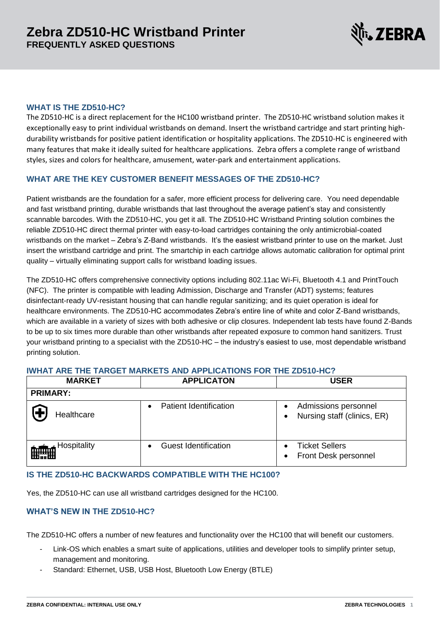

## **WHAT IS THE ZD510-HC?**

The ZD510-HC is a direct replacement for the HC100 wristband printer. The ZD510-HC wristband solution makes it exceptionally easy to print individual wristbands on demand. Insert the wristband cartridge and start printing highdurability wristbands for positive patient identification or hospitality applications. The ZD510-HC is engineered with many features that make it ideally suited for healthcare applications. Zebra offers a complete range of wristband styles, sizes and colors for healthcare, amusement, water-park and entertainment applications.

## **WHAT ARE THE KEY CUSTOMER BENEFIT MESSAGES OF THE ZD510-HC?**

Patient wristbands are the foundation for a safer, more efficient process for delivering care. You need dependable and fast wristband printing, durable wristbands that last throughout the average patient's stay and consistently scannable barcodes. With the ZD510-HC, you get it all. The ZD510-HC Wristband Printing solution combines the reliable ZD510-HC direct thermal printer with easy-to-load cartridges containing the only antimicrobial-coated wristbands on the market – Zebra's Z-Band wristbands. It's the easiest wristband printer to use on the market. Just insert the wristband cartridge and print. The smartchip in each cartridge allows automatic calibration for optimal print quality – virtually eliminating support calls for wristband loading issues.

The ZD510-HC offers comprehensive connectivity options including 802.11ac Wi-Fi, Bluetooth 4.1 and PrintTouch (NFC). The printer is compatible with leading Admission, Discharge and Transfer (ADT) systems; features disinfectant-ready UV-resistant housing that can handle regular sanitizing; and its quiet operation is ideal for healthcare environments. The ZD510-HC accommodates Zebra's entire line of white and color Z-Band wristbands, which are available in a variety of sizes with both adhesive or clip closures. Independent lab tests have found Z-Bands to be up to six times more durable than other wristbands after repeated exposure to common hand sanitizers. Trust your wristband printing to a specialist with the ZD510-HC – the industry's easiest to use, most dependable wristband printing solution.

#### **IWHAT ARE THE TARGET MARKETS AND APPLICATIONS FOR THE ZD510-HC?**

| <b>MARKET</b>                | <b>APPLICATON</b>           | <b>USER</b>                                                |
|------------------------------|-----------------------------|------------------------------------------------------------|
| <b>PRIMARY:</b>              |                             |                                                            |
| Healthcare                   | Patient Identification      | Admissions personnel<br>Nursing staff (clinics, ER)        |
| Hospitality<br><b>Himmed</b> | <b>Guest Identification</b> | <b>Ticket Sellers</b><br>Front Desk personnel<br>$\bullet$ |

## **IS THE ZD510-HC BACKWARDS COMPATIBLE WITH THE HC100?**

Yes, the ZD510-HC can use all wristband cartridges designed for the HC100.

### **WHAT'S NEW IN THE ZD510-HC?**

The ZD510-HC offers a number of new features and functionality over the HC100 that will benefit our customers.

- Link-OS which enables a smart suite of applications, utilities and developer tools to simplify printer setup, management and monitoring.
- Standard: Ethernet, USB, USB Host, Bluetooth Low Energy (BTLE)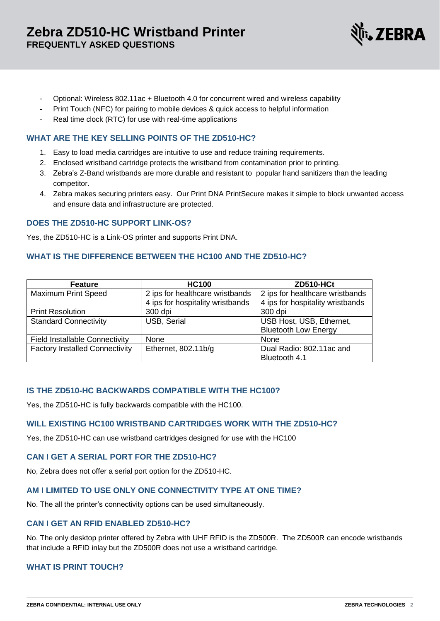

- Optional: Wireless 802.11ac + Bluetooth 4.0 for concurrent wired and wireless capability
- Print Touch (NFC) for pairing to mobile devices & quick access to helpful information
- Real time clock (RTC) for use with real-time applications

#### **WHAT ARE THE KEY SELLING POINTS OF THE ZD510-HC?**

- 1. Easy to load media cartridges are intuitive to use and reduce training requirements.
- 2. Enclosed wristband cartridge protects the wristband from contamination prior to printing.
- 3. Zebra's Z-Band wristbands are more durable and resistant to popular hand sanitizers than the leading competitor.
- 4. Zebra makes securing printers easy. Our Print DNA PrintSecure makes it simple to block unwanted access and ensure data and infrastructure are protected.

## **DOES THE ZD510-HC SUPPORT LINK-OS?**

Yes, the ZD510-HC is a Link-OS printer and supports Print DNA.

## **WHAT IS THE DIFFERENCE BETWEEN THE HC100 AND THE ZD510-HC?**

| <b>Feature</b>                        | <b>HC100</b>                     | ZD510-HCt                        |
|---------------------------------------|----------------------------------|----------------------------------|
| <b>Maximum Print Speed</b>            | 2 ips for healthcare wristbands  | 2 ips for healthcare wristbands  |
|                                       | 4 ips for hospitality wristbands | 4 ips for hospitality wristbands |
| <b>Print Resolution</b>               | 300 dpi                          | 300 dpi                          |
| <b>Standard Connectivity</b>          | USB, Serial                      | USB Host, USB, Ethernet,         |
|                                       |                                  | <b>Bluetooth Low Energy</b>      |
| <b>Field Installable Connectivity</b> | None                             | None                             |
| <b>Factory Installed Connectivity</b> | Ethernet, $802.11b/q$            | Dual Radio: 802.11ac and         |
|                                       |                                  | Bluetooth 4.1                    |

#### **IS THE ZD510-HC BACKWARDS COMPATIBLE WITH THE HC100?**

Yes, the ZD510-HC is fully backwards compatible with the HC100.

#### **WILL EXISTING HC100 WRISTBAND CARTRIDGES WORK WITH THE ZD510-HC?**

Yes, the ZD510-HC can use wristband cartridges designed for use with the HC100

# **CAN I GET A SERIAL PORT FOR THE ZD510-HC?**

No, Zebra does not offer a serial port option for the ZD510-HC.

# **AM I LIMITED TO USE ONLY ONE CONNECTIVITY TYPE AT ONE TIME?**

No. The all the printer's connectivity options can be used simultaneously.

#### **CAN I GET AN RFID ENABLED ZD510-HC?**

No. The only desktop printer offered by Zebra with UHF RFID is the ZD500R. The ZD500R can encode wristbands that include a RFID inlay but the ZD500R does not use a wristband cartridge.

## **WHAT IS PRINT TOUCH?**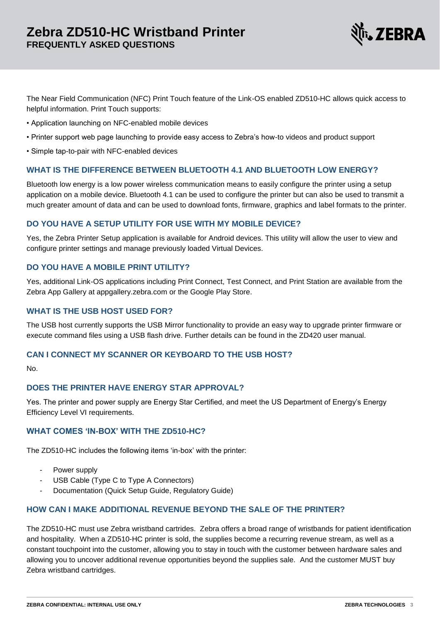

The Near Field Communication (NFC) Print Touch feature of the Link-OS enabled ZD510-HC allows quick access to helpful information. Print Touch supports:

- Application launching on NFC-enabled mobile devices
- Printer support web page launching to provide easy access to Zebra's how-to videos and product support
- Simple tap-to-pair with NFC-enabled devices

## **WHAT IS THE DIFFERENCE BETWEEN BLUETOOTH 4.1 AND BLUETOOTH LOW ENERGY?**

Bluetooth low energy is a low power wireless communication means to easily configure the printer using a setup application on a mobile device. Bluetooth 4.1 can be used to configure the printer but can also be used to transmit a much greater amount of data and can be used to download fonts, firmware, graphics and label formats to the printer.

## **DO YOU HAVE A SETUP UTILITY FOR USE WITH MY MOBILE DEVICE?**

Yes, the Zebra Printer Setup application is available for Android devices. This utility will allow the user to view and configure printer settings and manage previously loaded Virtual Devices.

## **DO YOU HAVE A MOBILE PRINT UTILITY?**

Yes, additional Link-OS applications including Print Connect, Test Connect, and Print Station are available from the Zebra App Gallery at appgallery.zebra.com or the Google Play Store.

### **WHAT IS THE USB HOST USED FOR?**

The USB host currently supports the USB Mirror functionality to provide an easy way to upgrade printer firmware or execute command files using a USB flash drive. Further details can be found in the ZD420 user manual.

#### **CAN I CONNECT MY SCANNER OR KEYBOARD TO THE USB HOST?**

No.

# **DOES THE PRINTER HAVE ENERGY STAR APPROVAL?**

Yes. The printer and power supply are Energy Star Certified, and meet the US Department of Energy's Energy Efficiency Level VI requirements.

# **WHAT COMES 'IN-BOX' WITH THE ZD510-HC?**

The ZD510-HC includes the following items 'in-box' with the printer:

- Power supply
- USB Cable (Type C to Type A Connectors)
- Documentation (Quick Setup Guide, Regulatory Guide)

#### **HOW CAN I MAKE ADDITIONAL REVENUE BEYOND THE SALE OF THE PRINTER?**

The ZD510-HC must use Zebra wristband cartrides. Zebra offers a broad range of wristbands for patient identification and hospitality. When a ZD510-HC printer is sold, the supplies become a recurring revenue stream, as well as a constant touchpoint into the customer, allowing you to stay in touch with the customer between hardware sales and allowing you to uncover additional revenue opportunities beyond the supplies sale. And the customer MUST buy Zebra wristband cartridges.